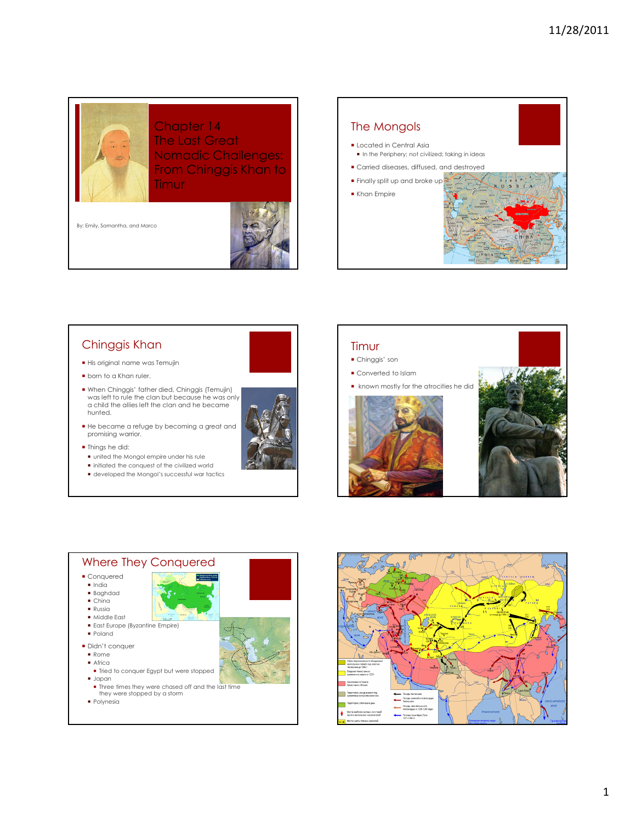Chapter 14 The Last Great Nomadic Challenges: From Chinggis Khan to Timur

By: Emily, Samantha, and Marco



# The Mongols

- Located in Central Asia In the Periphery; not civilized; taking in ideas Carried diseases, diffused, and destroyed  $\sim$ Finally split up and broke up
- Khan Empire



# Chinggis Khan

- His original name was Temujin
- **born to a Khan ruler.**
- When Chinggis' father died, Chinggis (Temujin) was left to rule the clan but because he was only a child the allies left the clan and he became hunted.
- He became a refuge by becoming a great and promising warrior.
- **Things he did:**
- united the Mongol empire under his rule
- $\blacksquare$  initiated the conquest of the civilized world
- developed the Mongol's successful war tactics



#### Timur Chinggis' son

- 
- Converted to Islam
- **Reduced to known mostly for the atrocities he did**